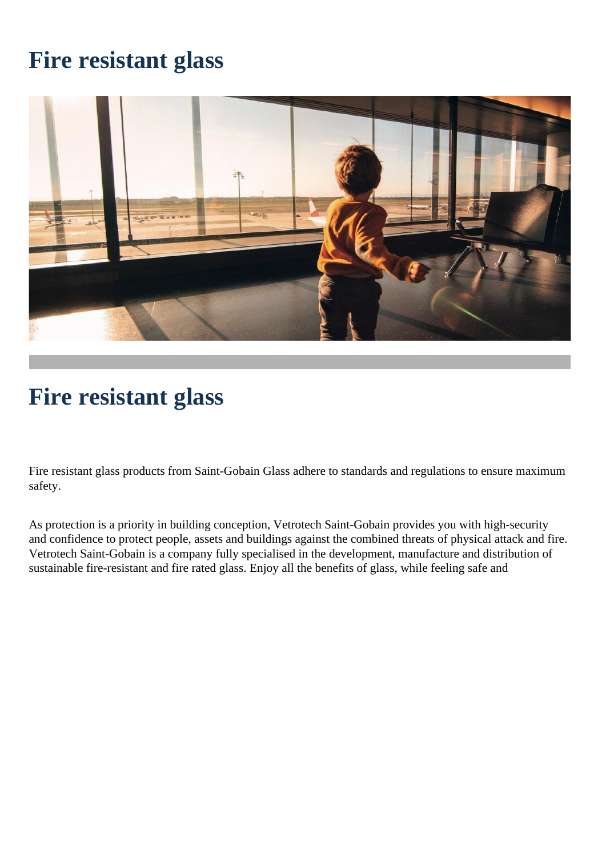# **Fire resistant glass**



# **Fire resistant glass**

Fire resistant glass products from Saint-Gobain Glass adhere to standards and regulations to ensure maximum safety.

As protection is a priority in building conception, Vetrotech Saint-Gobain provides you with high-security and confidence to protect people, assets and buildings against the combined threats of physical attack and fire. Vetrotech Saint-Gobain is a company fully specialised in the development, manufacture and distribution of sustainable fire-resistant and fire rated glass. Enjoy all the benefits of glass, while feeling safe and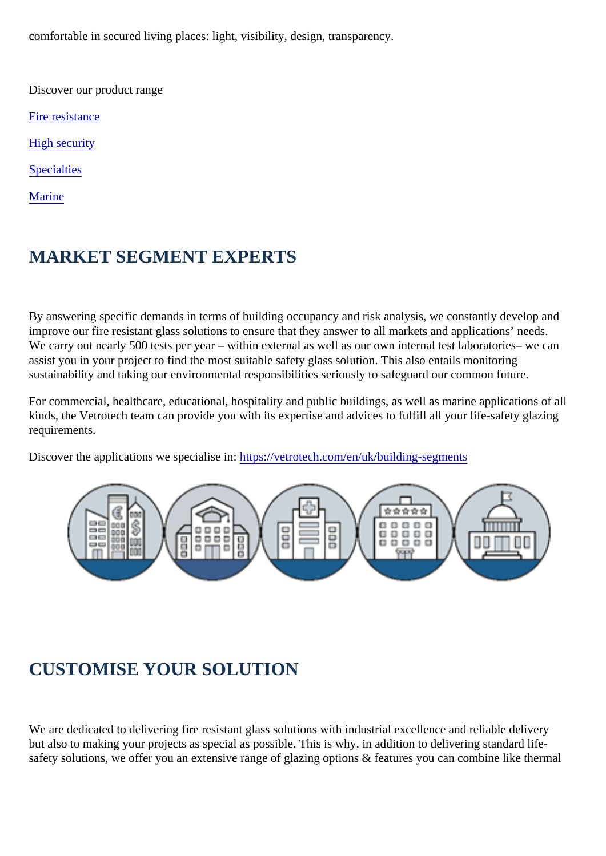comfortable in secured living places: light, visibility, design, transparency.

Discover our product range

[Fire resistanc](https://vetrotech.com/en/uk/fire-resistance-europe)e

[High security](https://vetrotech.com/en/uk/high-security)

**[Specialtie](https://vetrotech.com/en/uk/specialties)s** 

**[Marine](https://vetrotech.com/en/uk/marine)** 

# MARKET SEGMENT EXPERTS

By answering specific demands in terms of building occupancy and risk analysis, we constantly devel improve our fire resistant glass solutions to ensure that they answer to all markets and applications' r We carry out nearly 500 tests per year – within external as well as our own internal test laboratories– assist you in your project to find the most suitable safety glass solution. This also entails monitoring sustainability and taking our environmental responsibilities seriously to safeguard our common future.

For commercial, healthcare, educational, hospitality and public buildings, as well as marine applicatic kinds, the Vetrotech team can provide you with its expertise and advices to fulfill all your life-safety gl requirements.

Discover the applications we specialise https://vetrotech.com/en/uk/building-segments

# CUSTOMISE YOUR SOLUTION

We are dedicated to delivering fire resistant glass solutions with industrial excellence and reliable del but also to making your projects as special as possible. This is why, in addition to delivering standard safety solutions, we offer you an extensive range of glazing options & features you can combine like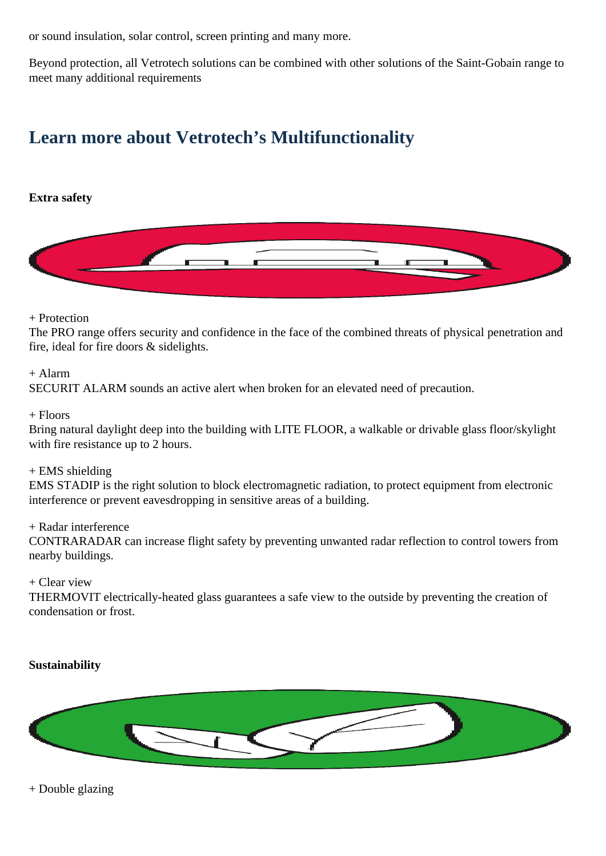or sound insulation, solar control, screen printing and many more.

Beyond protection, all Vetrotech solutions can be combined with other solutions of the Saint-Gobain range to meet many additional requirements

# **Learn more about Vetrotech's Multifunctionality**

### **Extra safety**



#### + Protection

The PRO range offers security and confidence in the face of the combined threats of physical penetration and fire, ideal for fire doors & sidelights.

#### + Alarm

SECURIT ALARM sounds an active alert when broken for an elevated need of precaution.

#### $+$  Floors

Bring natural daylight deep into the building with LITE FLOOR, a walkable or drivable glass floor/skylight with fire resistance up to 2 hours.

#### + EMS shielding

EMS STADIP is the right solution to block electromagnetic radiation, to protect equipment from electronic interference or prevent eavesdropping in sensitive areas of a building.

#### + Radar interference

CONTRARADAR can increase flight safety by preventing unwanted radar reflection to control towers from nearby buildings.

#### + Clear view

THERMOVIT electrically-heated glass guarantees a safe view to the outside by preventing the creation of condensation or frost.

# **Sustainability**



+ Double glazing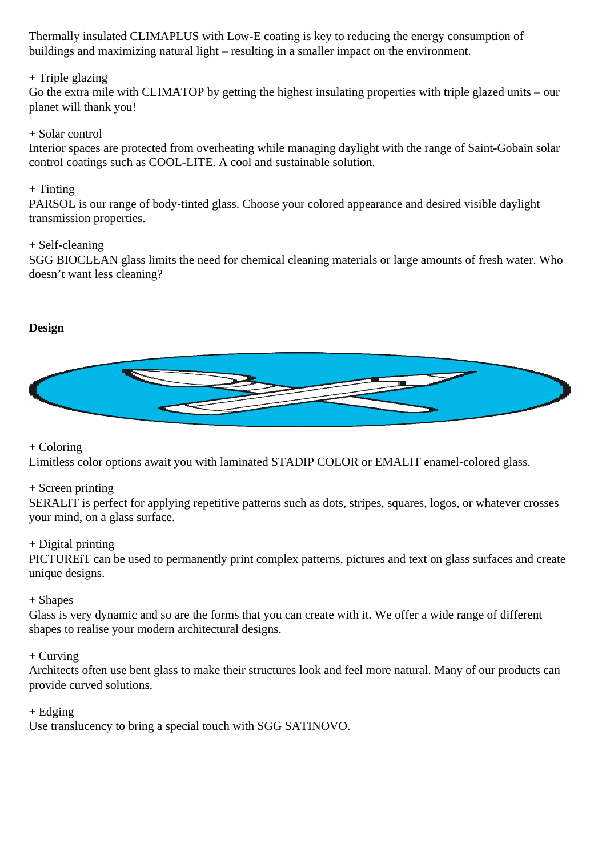Thermally insulated CLIMAPLUS with Low-E coating is key to reducing the energy consumption of buildings and maximizing natural light – resulting in a smaller impact on the environment.

# + Triple glazing

Go the extra mile with CLIMATOP by getting the highest insulating properties with triple glazed units – our planet will thank you!

#### + Solar control

Interior spaces are protected from overheating while managing daylight with the range of Saint-Gobain solar control coatings such as COOL-LITE. A cool and sustainable solution.

#### $+$  Tinting

PARSOL is our range of body-tinted glass. Choose your colored appearance and desired visible daylight transmission properties.

#### + Self-cleaning

SGG BIOCLEAN glass limits the need for chemical cleaning materials or large amounts of fresh water. Who doesn't want less cleaning?

# **Design**



# + Coloring

Limitless color options await you with laminated STADIP COLOR or EMALIT enamel-colored glass.

# + Screen printing

SERALIT is perfect for applying repetitive patterns such as dots, stripes, squares, logos, or whatever crosses your mind, on a glass surface.

# + Digital printing

PICTUREiT can be used to permanently print complex patterns, pictures and text on glass surfaces and create unique designs.

# + Shapes

Glass is very dynamic and so are the forms that you can create with it. We offer a wide range of different shapes to realise your modern architectural designs.

# $+$  Curving

Architects often use bent glass to make their structures look and feel more natural. Many of our products can provide curved solutions.

 $+$  Edging

Use translucency to bring a special touch with SGG SATINOVO.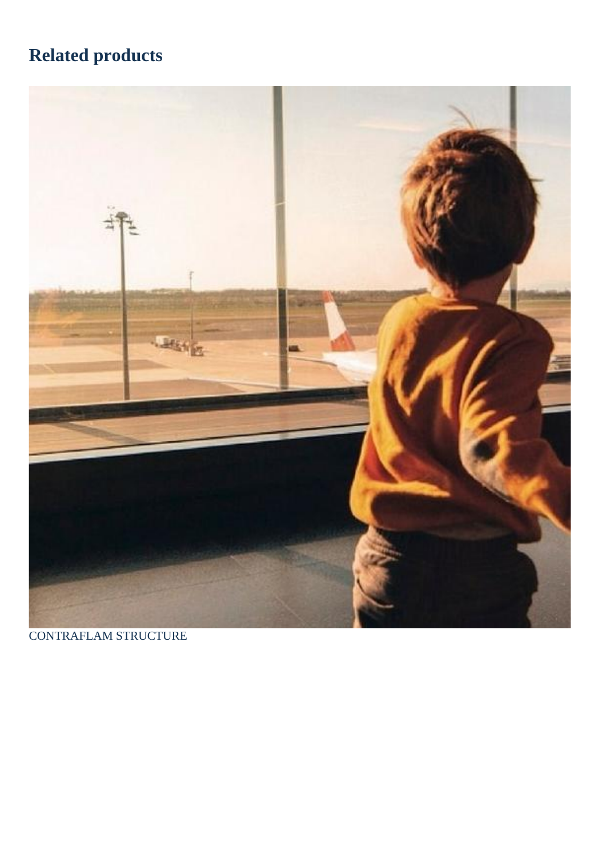# Related products

CONTRAFLAM STRUCTURE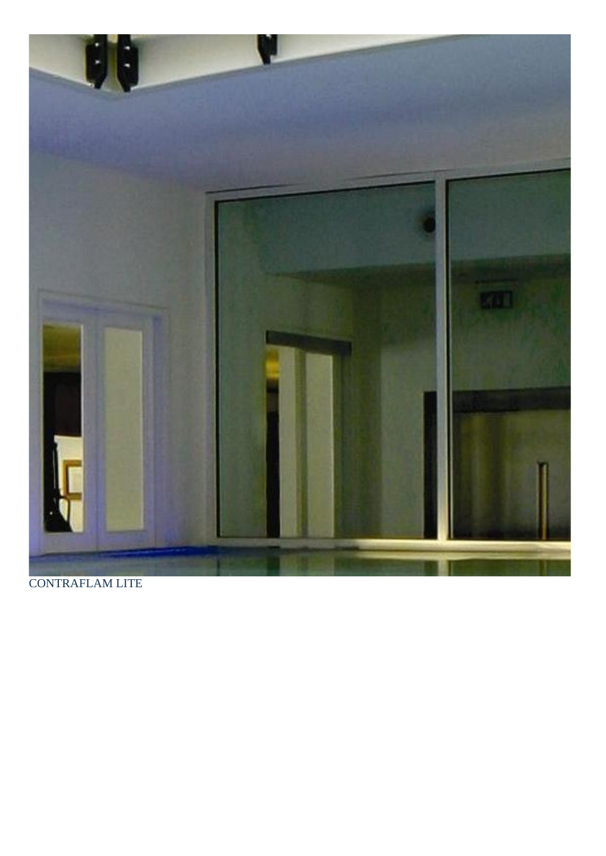CONTRAFLAM LITE